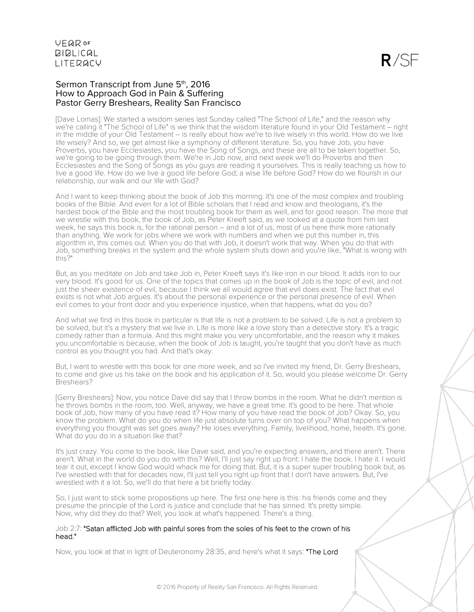$R/SF$ 

### Sermon Transcript from June 5<sup>th</sup>, 2016 How to Approach God in Pain & Suffering Pastor Gerry Breshears, Reality San Francisco

[Dave Lomas]: We started a wisdom series last Sunday called "The School of Life," and the reason why we're calling it "The School of Life" is we think that the wisdom literature found in your Old Testament – right in the middle of your Old Testament – is really about how we're to live wisely in this world. How do we live life wisely? And so, we get almost like a symphony of different literature. So, you have Job, you have Proverbs, you have Ecclesiastes, you have the Song of Songs, and these are all to be taken together. So, we're going to be going through them. We're in Job now, and next week we'll do Proverbs and then Ecclesiastes and the Song of Songs as you guys are reading it yourselves. This is really teaching us how to live a good life. How do we live a good life before God; a wise life before God? How do we flourish in our relationship, our walk and our life with God?

And I want to keep thinking about the book of Job this morning. It's one of the most complex and troubling books of the Bible. And even for a lot of Bible scholars that I read and know and theologians, it's the hardest book of the Bible and the most troubling book for them as well, and for good reason. The more that we wrestle with this book, the book of Job, as Peter Kreeft said, as we looked at a quote from him last week, he says this book is, for the rational person – and a lot of us, most of us here think more rationally than anything. We work for jobs where we work with numbers and when we put this number in, this algorithm in, this comes out. When you do that with Job, it doesn't work that way. When you do that with Job, something breaks in the system and the whole system shuts down and you're like, "What is wrong with this?"

But, as you meditate on Job and take Job in, Peter Kreeft says it's like iron in our blood. It adds iron to our very blood. It's good for us. One of the topics that comes up in the book of Job is the topic of evil, and not just the sheer existence of evil, because I think we all would agree that evil does exist. The fact that evil exists is not what Job argues. It's about the personal experience or the personal presence of evil. When evil comes to your front door and you experience injustice, when that happens, what do you do?

And what we find in this book in particular is that life is not a problem to be solved. Life is not a problem to be solved, but it's a mystery that we live in. Life is more like a love story than a detective story. It's a tragic comedy rather than a formula. And this might make you very uncomfortable, and the reason why it makes you uncomfortable is because, when the book of Job is taught, you're taught that you don't have as much control as you thought you had. And that's okay.

But, I want to wrestle with this book for one more week, and so I've invited my friend, Dr. Gerry Breshears, to come and give us his take on the book and his application of it. So, would you please welcome Dr. Gerry Breshears?

[Gerry Breshears]: Now, you notice Dave did say that I throw bombs in the room. What he didn't mention is he throws bombs in the room, too. Well, anyway, we have a great time. It's good to be here. That whole book of Job, how many of you have read it? How many of you have read the book of Job? Okay. So, you know the problem. What do you do when life just absolute turns over on top of you? What happens when everything you thought was set goes away? He loses everything. Family, livelihood, home, health. It's gone. What do you do in a situation like that?

It's just crazy. You come to the book, like Dave said, and you're expecting answers, and there aren't. There aren't. What in the world do you do with this? Well, I'll just say right up front: I hate the book. I hate it. I would tear it out, except I know God would whack me for doing that. But, it is a super super troubling book but, as I've wrestled with that for decades now, I'll just tell you right up front that I don't have answers. But, I've wrestled with it a lot. So, we'll do that here a bit briefly today.

So, I just want to stick some propositions up here. The first one here is this: his friends come and they presume the principle of the Lord is justice and conclude that he has sinned. It's pretty simple. Now, why did they do that? Well, you look at what's happened. There's a thing.

#### Job 2:7: "Satan afflicted Job with painful sores from the soles of his feet to the crown of his head."

Now, you look at that in light of Deuteronomy 28:35, and here's what it says: "The Lord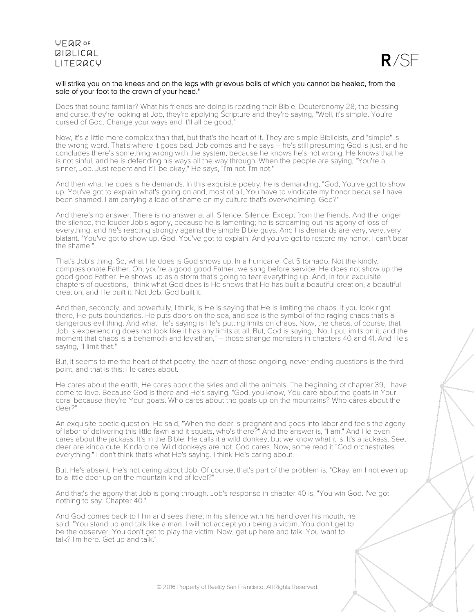### **VFQR OF BIBLICAL LITERACY**



#### will strike you on the knees and on the legs with grievous boils of which you cannot be healed, from the sole of your foot to the crown of your head."

Does that sound familiar? What his friends are doing is reading their Bible, Deuteronomy 28, the blessing and curse, they're looking at Job, they're applying Scripture and they're saying, "Well, it's simple. You're cursed of God. Change your ways and it'll all be good."

Now, it's a little more complex than that, but that's the heart of it. They are simple Biblicists, and "simple" is the wrong word. That's where it goes bad. Job comes and he says – he's still presuming God is just, and he concludes there's something wrong with the system, because he knows he's not wrong. He knows that he is not sinful, and he is defending his ways all the way through. When the people are saying, "You're a sinner, Job. Just repent and it'll be okay," He says, "I'm not. I'm not."

And then what he does is he demands. In this exquisite poetry, he is demanding, "God, You've got to show up. You've got to explain what's going on and, most of all, You have to vindicate my honor because I have been shamed. I am carrying a load of shame on my culture that's overwhelming. God?"

And there's no answer. There is no answer at all. Silence. Silence. Except from the friends. And the longer the silence, the louder Job's agony, because he is lamenting; he is screaming out his agony of loss of everything, and he's reacting strongly against the simple Bible guys. And his demands are very, very, very blatant. "You've got to show up, God. You've got to explain. And you've got to restore my honor. I can't bear the shame."

That's Job's thing. So, what He does is God shows up. In a hurricane. Cat 5 tornado. Not the kindly, compassionate Father. Oh, you're a good good Father, we sang before service. He does not show up the good good Father. He shows up as a storm that's going to tear everything up. And, in four exquisite chapters of questions, I think what God does is He shows that He has built a beautiful creation, a beautiful creation, and He built it. Not Job. God built it.

And then, secondly, and powerfully, I think, is He is saying that He is limiting the chaos. If you look right there, He puts boundaries. He puts doors on the sea, and sea is the symbol of the raging chaos that's a dangerous evil thing. And what He's saying is He's putting limits on chaos. Now, the chaos, of course, that Job is experiencing does not look like it has any limits at all. But, God is saying, "No. I put limits on it, and the moment that chaos is a behemoth and leviathan," – those strange monsters in chapters 40 and 41. And He's saying, "I limit that."

But, it seems to me the heart of that poetry, the heart of those ongoing, never ending questions is the third point, and that is this: He cares about.

He cares about the earth, He cares about the skies and all the animals. The beginning of chapter 39, I have come to love. Because God is there and He's saying, "God, you know, You care about the goats in Your coral because they're Your goats. Who cares about the goats up on the mountains? Who cares about the deer?"

An exquisite poetic question. He said, "When the deer is pregnant and goes into labor and feels the agony of labor of delivering this little fawn and it squats, who's there?" And the answer is, "I am." And He even cares about the jackass. It's in the Bible. He calls it a wild donkey, but we know what it is. It's a jackass. See, deer are kinda cute. Kinda cute. Wild donkeys are not. God cares. Now, some read it "God orchestrates everything." I don't think that's what He's saying. I think He's caring about.

But, He's absent. He's not caring about Job. Of course, that's part of the problem is, "Okay, am I not even up to a little deer up on the mountain kind of level?"

And that's the agony that Job is going through. Job's response in chapter 40 is, "You win God. I've got nothing to say. Chapter 40."

And God comes back to Him and sees there, in his silence with his hand over his mouth, he said, "You stand up and talk like a man. I will not accept you being a victim. You don't get to be the observer. You don't get to play the victim. Now, get up here and talk. You want to talk? I'm here. Get up and talk."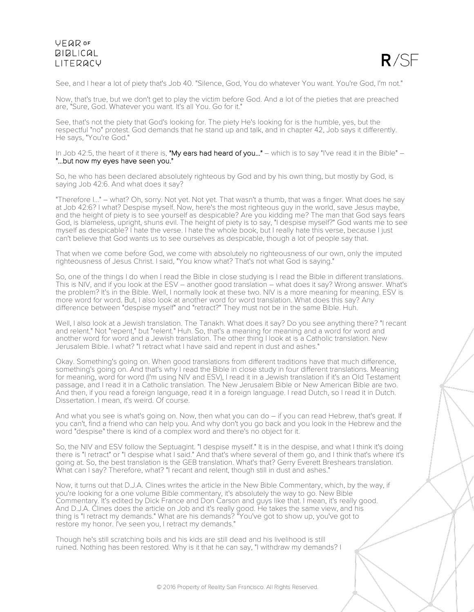### **VEQR OF BIBLICAL** LITERACY



See, and I hear a lot of piety that's Job 40. "Silence, God, You do whatever You want. You're God, I'm not."

Now, that's true, but we don't get to play the victim before God. And a lot of the pieties that are preached are, "Sure, God. Whatever you want. It's all You. Go for it."

See, that's not the piety that God's looking for. The piety He's looking for is the humble, yes, but the respectful "no" protest. God demands that he stand up and talk, and in chapter 42, Job says it differently. He says, "You're God."

In Job 42:5, the heart of it there is, "My ears had heard of you..." – which is to say "I've read it in the Bible" – "...but now my eyes have seen you."

So, he who has been declared absolutely righteous by God and by his own thing, but mostly by God, is saying Job 42:6. And what does it say?

"Therefore I..." – what? Oh, sorry. Not yet. Not yet. That wasn't a thumb, that was a finger. What does he say at Job 42:6? I what? Despise myself. Now, here's the most righteous guy in the world, save Jesus maybe, and the height of piety is to see yourself as despicable? Are you kidding me? The man that God says fears God, is blameless, upright, shuns evil. The height of piety is to say, "I despise myself?" God wants me to see myself as despicable? I hate the verse. I hate the whole book, but I really hate this verse, because I just can't believe that God wants us to see ourselves as despicable, though a lot of people say that.

That when we come before God, we come with absolutely no righteousness of our own, only the imputed righteousness of Jesus Christ. I said, "You know what? That's not what God is saying."

So, one of the things I do when I read the Bible in close studying is I read the Bible in different translations. This is NIV, and if you look at the ESV – another good translation – what does it say? Wrong answer. What's the problem? It's in the Bible. Well, I normally look at these two. NIV is a more meaning for meaning. ESV is more word for word. But, I also look at another word for word translation. What does this say? Any difference between "despise myself" and "retract?" They must not be in the same Bible. Huh.

Well, I also look at a Jewish translation. The Tanakh. What does it say? Do you see anything there? "I recant and relent." Not "repent," but "relent." Huh. So, that's a meaning for meaning and a word for word and another word for word and a Jewish translation. The other thing I look at is a Catholic translation. New Jerusalem Bible. I what? "I retract what I have said and repent in dust and ashes."

Okay. Something's going on. When good translations from different traditions have that much difference, something's going on. And that's why I read the Bible in close study in four different translations. Meaning for meaning, word for word (I'm using NIV and ESV), I read it in a Jewish translation if it's an Old Testament passage, and I read it in a Catholic translation. The New Jerusalem Bible or New American Bible are two. And then, if you read a foreign language, read it in a foreign language. I read Dutch, so I read it in Dutch. Dissertation. I mean, it's weird. Of course.

And what you see is what's going on. Now, then what you can do – if you can read Hebrew, that's great. If you can't, find a friend who can help you. And why don't you go back and you look in the Hebrew and the word "despise" there is kind of a complex word and there's no object for it.

So, the NIV and ESV follow the Septuagint. "I despise myself." It is in the despise, and what I think it's doing there is "I retract" or "I despise what I said." And that's where several of them go, and I think that's where it's going at. So, the best translation is the GEB translation. What's that? Gerry Everett Breshears translation. What can I say? Therefore, what? "I recant and relent, though still in dust and ashes."

Now, it turns out that D.J.A. Clines writes the article in the New Bible Commentary, which, by the way, if you're looking for a one volume Bible commentary, it's absolutely the way to go. New Bible Commentary. It's edited by Dick France and Don Carson and guys like that. I mean, it's really good. And D.J.A. Clines does the article on Job and it's really good. He takes the same view, and his thing is "I retract my demands." What are his demands? "You've got to show up, you've got to restore my honor. I've seen you, I retract my demands."

Though he's still scratching boils and his kids are still dead and his livelihood is still ruined. Nothing has been restored. Why is it that he can say, "I withdraw my demands? I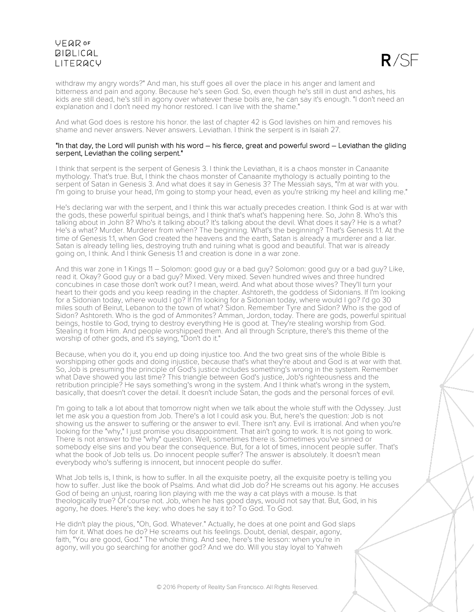# **VEQR OF BIBLICAL** LITERACY



withdraw my angry words?" And man, his stuff goes all over the place in his anger and lament and bitterness and pain and agony. Because he's seen God. So, even though he's still in dust and ashes, his kids are still dead, he's still in agony over whatever these boils are, he can say it's enough. "I don't need an explanation and I don't need my honor restored. I can live with the shame."

And what God does is restore his honor. the last of chapter 42 is God lavishes on him and removes his shame and never answers. Never answers. Leviathan. I think the serpent is in Isaiah 27.

#### "In that day, the Lord will punish with his word – his fierce, great and powerful sword – Leviathan the gliding serpent, Leviathan the coiling serpent."

I think that serpent is the serpent of Genesis 3. I think the Leviathan, it is a chaos monster in Canaanite mythology. That's true. But, I think the chaos monster of Canaanite mythology is actually pointing to the serpent of Satan in Genesis 3. And what does it say in Genesis 3? The Messiah says, "I'm at war with you. I'm going to bruise your head, I'm going to stomp your head, even as you're striking my heel and killing me."

He's declaring war with the serpent, and I think this war actually precedes creation. I think God is at war with the gods, these powerful spiritual beings, and I think that's what's happening here. So, John 8. Who's this talking about in John 8? Who's it talking about? It's talking about the devil. What does it say? He is a what? He's a what? Murder. Murderer from when? The beginning. What's the beginning? That's Genesis 1:1. At the time of Genesis 1:1, when God created the heavens and the earth, Satan is already a murderer and a liar. Satan is already telling lies, destroying truth and ruining what is good and beautiful. That war is already going on, I think. And I think Genesis 1:1 and creation is done in a war zone.

And this war zone in 1 Kings 11 – Solomon: good guy or a bad guy? Solomon: good guy or a bad guy? Like, read it. Okay? Good guy or a bad guy? Mixed. Very mixed. Seven hundred wives and three hundred concubines in case those don't work out? I mean, weird. And what about those wives? They'll turn your heart to their gods and you keep reading in the chapter. Ashtoreth, the goddess of Sidonians. If I'm looking for a Sidonian today, where would I go? If I'm looking for a Sidonian today, where would I go? I'd go 30 miles south of Beirut, Lebanon to the town of what? Sidon. Remember Tyre and Sidon? Who is the god of Sidon? Ashtoreth. Who is the god of Ammonites? Amman, Jordon, today. There are gods, powerful spiritual beings, hostile to God, trying to destroy everything He is good at. They're stealing worship from God. Stealing it from Him. And people worshipped them. And all through Scripture, there's this theme of the worship of other gods, and it's saying, "Don't do it."

Because, when you do it, you end up doing injustice too. And the two great sins of the whole Bible is worshipping other gods and doing injustice, because that's what they're about and God is at war with that. So, Job is presuming the principle of God's justice includes something's wrong in the system. Remember what Dave showed you last time? This triangle between God's justice, Job's righteousness and the retribution principle? He says something's wrong in the system. And I think what's wrong in the system, basically, that doesn't cover the detail. It doesn't include Satan, the gods and the personal forces of evil.

I'm going to talk a lot about that tomorrow night when we talk about the whole stuff with the Odyssey. Just let me ask you a question from Job. There's a lot I could ask you. But, here's the question: Job is not showing us the answer to suffering or the answer to evil. There isn't any. Evil is irrational. And when you're looking for the "why," I just promise you disappointment. That ain't going to work. It is not going to work. There is not answer to the "why" question. Well, sometimes there is. Sometimes you've sinned or somebody else sins and you bear the consequence. But, for a lot of times, innocent people suffer. That's what the book of Job tells us. Do innocent people suffer? The answer is absolutely. It doesn't mean everybody who's suffering is innocent, but innocent people do suffer.

What Job tells is, I think, is how to suffer. In all the exquisite poetry, all the exquisite poetry is telling you how to suffer. Just like the book of Psalms. And what did Job do? He screams out his agony. He accuses God of being an unjust, roaring lion playing with me the way a cat plays with a mouse. Is that theologically true? Of course not. Job, when he has good days, would not say that. But, God, in his agony, he does. Here's the key: who does he say it to? To God. To God.

He didn't play the pious, "Oh, God. Whatever." Actually, he does at one point and God slaps him for it. What does he do? He screams out his feelings. Doubt, denial, despair, agony, faith, "You are good, God." The whole thing. And see, here's the lesson: when you're in agony, will you go searching for another god? And we do. Will you stay loyal to Yahweh